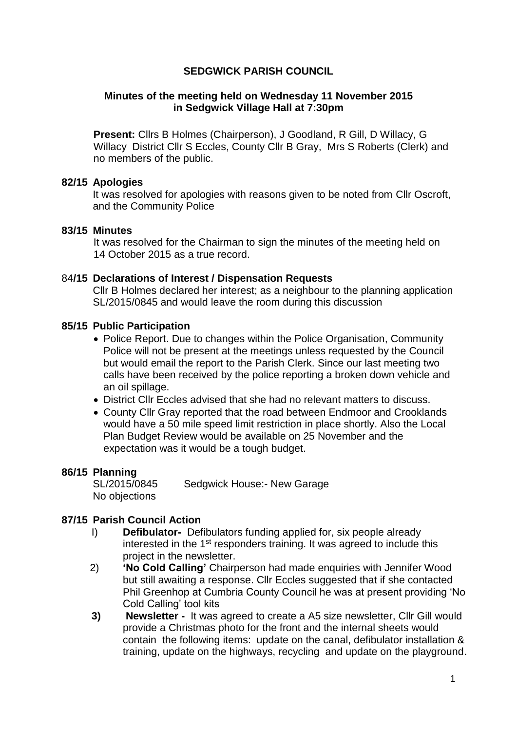# **SEDGWICK PARISH COUNCIL**

### **Minutes of the meeting held on Wednesday 11 November 2015 in Sedgwick Village Hall at 7:30pm**

**Present:** Cllrs B Holmes (Chairperson), J Goodland, R Gill, D Willacy, G Willacy District Cllr S Eccles, County Cllr B Gray, Mrs S Roberts (Clerk) and no members of the public.

### **82/15 Apologies**

It was resolved for apologies with reasons given to be noted from Cllr Oscroft, and the Community Police

### **83/15 Minutes**

It was resolved for the Chairman to sign the minutes of the meeting held on 14 October 2015 as a true record.

### 84**/15 Declarations of Interest / Dispensation Requests**

Cllr B Holmes declared her interest; as a neighbour to the planning application SL/2015/0845 and would leave the room during this discussion

### **85/15 Public Participation**

- Police Report. Due to changes within the Police Organisation, Community Police will not be present at the meetings unless requested by the Council but would email the report to the Parish Clerk. Since our last meeting two calls have been received by the police reporting a broken down vehicle and an oil spillage.
- District Cllr Eccles advised that she had no relevant matters to discuss.
- County Cllr Gray reported that the road between Endmoor and Crooklands would have a 50 mile speed limit restriction in place shortly. Also the Local Plan Budget Review would be available on 25 November and the expectation was it would be a tough budget.

#### **86/15 Planning**

SL/2015/0845 Sedgwick House:- New Garage No objections

## **87/15 Parish Council Action**

- I) **Defibulator-** Defibulators funding applied for, six people already interested in the 1<sup>st</sup> responders training. It was agreed to include this project in the newsletter.
- 2) **'No Cold Calling'** Chairperson had made enquiries with Jennifer Wood but still awaiting a response. Cllr Eccles suggested that if she contacted Phil Greenhop at Cumbria County Council he was at present providing 'No Cold Calling' tool kits
- **3) Newsletter** It was agreed to create a A5 size newsletter, Cllr Gill would provide a Christmas photo for the front and the internal sheets would contain the following items: update on the canal, defibulator installation & training, update on the highways, recycling and update on the playground.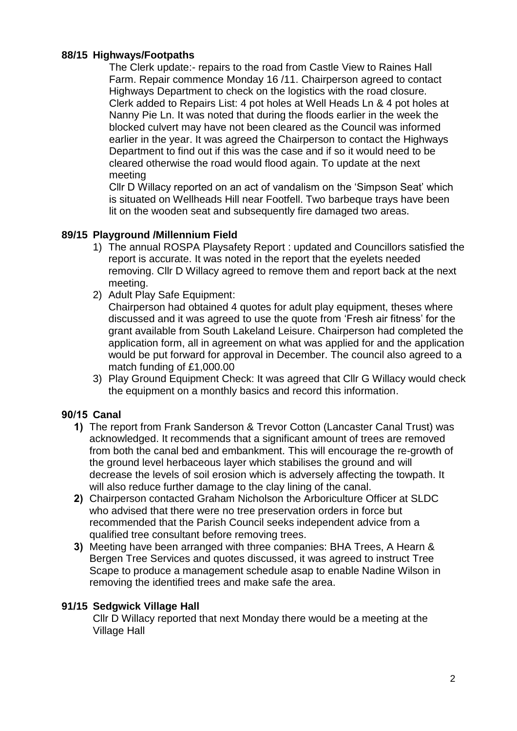# **88/15 Highways/Footpaths**

The Clerk update:- repairs to the road from Castle View to Raines Hall Farm. Repair commence Monday 16 /11. Chairperson agreed to contact Highways Department to check on the logistics with the road closure. Clerk added to Repairs List: 4 pot holes at Well Heads Ln & 4 pot holes at Nanny Pie Ln. It was noted that during the floods earlier in the week the blocked culvert may have not been cleared as the Council was informed earlier in the year. It was agreed the Chairperson to contact the Highways Department to find out if this was the case and if so it would need to be cleared otherwise the road would flood again. To update at the next meeting

Cllr D Willacy reported on an act of vandalism on the 'Simpson Seat' which is situated on Wellheads Hill near Footfell. Two barbeque trays have been lit on the wooden seat and subsequently fire damaged two areas.

# **89/15 Playground /Millennium Field**

- 1) The annual ROSPA Playsafety Report : updated and Councillors satisfied the report is accurate. It was noted in the report that the eyelets needed removing. Cllr D Willacy agreed to remove them and report back at the next meeting.
- 2) Adult Play Safe Equipment:

Chairperson had obtained 4 quotes for adult play equipment, theses where discussed and it was agreed to use the quote from 'Fresh air fitness' for the grant available from South Lakeland Leisure. Chairperson had completed the application form, all in agreement on what was applied for and the application would be put forward for approval in December. The council also agreed to a match funding of £1,000.00

3) Play Ground Equipment Check: It was agreed that Cllr G Willacy would check the equipment on a monthly basics and record this information.

# **90/15 Canal**

- **1)** The report from Frank Sanderson & Trevor Cotton (Lancaster Canal Trust) was acknowledged. It recommends that a significant amount of trees are removed from both the canal bed and embankment. This will encourage the re-growth of the ground level herbaceous layer which stabilises the ground and will decrease the levels of soil erosion which is adversely affecting the towpath. It will also reduce further damage to the clay lining of the canal.
- **2)** Chairperson contacted Graham Nicholson the Arboriculture Officer at SLDC who advised that there were no tree preservation orders in force but recommended that the Parish Council seeks independent advice from a qualified tree consultant before removing trees.
- **3)** Meeting have been arranged with three companies: BHA Trees, A Hearn & Bergen Tree Services and quotes discussed, it was agreed to instruct Tree Scape to produce a management schedule asap to enable Nadine Wilson in removing the identified trees and make safe the area.

## **91/15 Sedgwick Village Hall**

Cllr D Willacy reported that next Monday there would be a meeting at the Village Hall